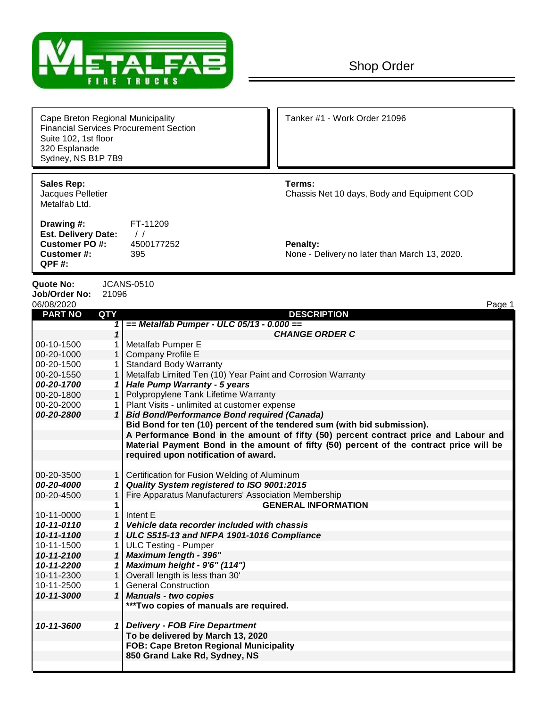

| Cape Breton Regional Municipality<br><b>Financial Services Procurement Section</b><br>Suite 102, 1st floor<br>320 Esplanade<br>Sydney, NS B1P 7B9 |                                           | Tanker #1 - Work Order 21096                              |
|---------------------------------------------------------------------------------------------------------------------------------------------------|-------------------------------------------|-----------------------------------------------------------|
| <b>Sales Rep:</b><br>Jacques Pelletier<br>Metalfab Ltd.                                                                                           |                                           | Terms:<br>Chassis Net 10 days, Body and Equipment COD     |
| Drawing #:<br><b>Est. Delivery Date:</b><br>Customer PO#:<br>Customer#:<br>QPF#:                                                                  | FT-11209<br>$\prime$<br>4500177252<br>395 | Penalty:<br>None - Delivery no later than March 13, 2020. |

**Quote No:** JCANS-0510 **Job/Order No:** 21096

| 06/08/2020     |                | Page 1                                                                                  |
|----------------|----------------|-----------------------------------------------------------------------------------------|
| <b>PART NO</b> | QTY            | <b>DESCRIPTION</b>                                                                      |
|                | 1              | == Metalfab Pumper - ULC 05/13 - 0.000 ==                                               |
|                | $\mathbf 1$    | <b>CHANGE ORDER C</b>                                                                   |
| 00-10-1500     |                | Metalfab Pumper E                                                                       |
| 00-20-1000     |                | 1   Company Profile E                                                                   |
| 00-20-1500     |                | <b>Standard Body Warranty</b>                                                           |
| 00-20-1550     |                | Metalfab Limited Ten (10) Year Paint and Corrosion Warranty                             |
| 00-20-1700     |                | <b>Hale Pump Warranty - 5 years</b>                                                     |
| 00-20-1800     |                | Polypropylene Tank Lifetime Warranty                                                    |
| 00-20-2000     |                | Plant Visits - unlimited at customer expense                                            |
| 00-20-2800     |                | 1 Bid Bond/Performance Bond required (Canada)                                           |
|                |                | Bid Bond for ten (10) percent of the tendered sum (with bid submission).                |
|                |                | A Performance Bond in the amount of fifty (50) percent contract price and Labour and    |
|                |                | Material Payment Bond in the amount of fifty (50) percent of the contract price will be |
|                |                | required upon notification of award.                                                    |
|                |                |                                                                                         |
| 00-20-3500     |                | Certification for Fusion Welding of Aluminum                                            |
| 00-20-4000     |                | Quality System registered to ISO 9001:2015                                              |
| 00-20-4500     | 1              | Fire Apparatus Manufacturers' Association Membership                                    |
|                | 1              | <b>GENERAL INFORMATION</b>                                                              |
| 10-11-0000     | $\mathbf{1}$   | Intent E                                                                                |
| 10-11-0110     |                | Vehicle data recorder included with chassis                                             |
| 10-11-1100     | 1              | ULC S515-13 and NFPA 1901-1016 Compliance                                               |
| 10-11-1500     |                | <b>ULC Testing - Pumper</b>                                                             |
| 10-11-2100     | 1 <sup>1</sup> | <b>Maximum length - 396"</b>                                                            |
| 10-11-2200     | 1              | Maximum height - 9'6" (114")                                                            |
| 10-11-2300     | 1 <sup>1</sup> | Overall length is less than 30'                                                         |
| 10-11-2500     | 1              | <b>General Construction</b>                                                             |
| 10-11-3000     | $\mathbf{1}$   | <b>Manuals - two copies</b>                                                             |
|                |                | ***Two copies of manuals are required.                                                  |
|                |                |                                                                                         |
| 10-11-3600     |                | 1 Delivery - FOB Fire Department                                                        |
|                |                | To be delivered by March 13, 2020                                                       |
|                |                | <b>FOB: Cape Breton Regional Municipality</b>                                           |
|                |                | 850 Grand Lake Rd, Sydney, NS                                                           |
|                |                |                                                                                         |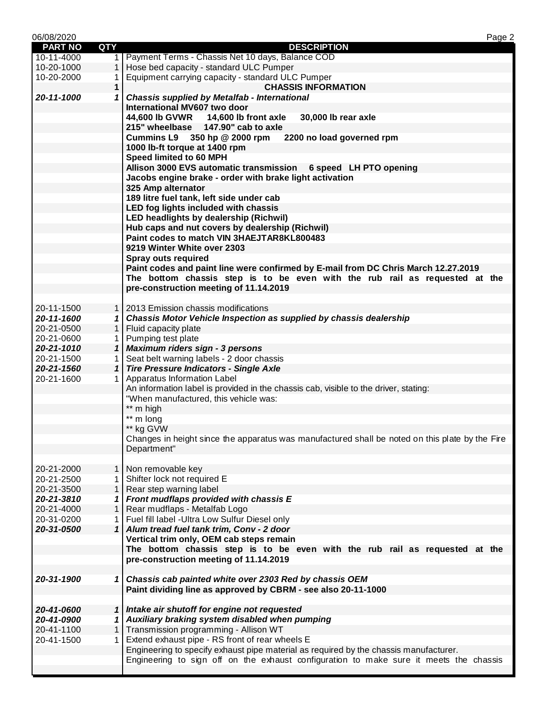| 06/08/2020     |              | Page 2                                                                                          |
|----------------|--------------|-------------------------------------------------------------------------------------------------|
| <b>PART NO</b> | <b>QTY</b>   | <b>DESCRIPTION</b>                                                                              |
| 10-11-4000     | 1            | Payment Terms - Chassis Net 10 days, Balance COD                                                |
| 10-20-1000     | 1            | Hose bed capacity - standard ULC Pumper                                                         |
| 10-20-2000     | 1            | Equipment carrying capacity - standard ULC Pumper                                               |
|                | 1            | <b>CHASSIS INFORMATION</b>                                                                      |
| 20-11-1000     | 1            | <b>Chassis supplied by Metalfab - International</b>                                             |
|                |              | International MV607 two door                                                                    |
|                |              | 44,600 lb GVWR 14,600 lb front axle<br>30,000 lb rear axle                                      |
|                |              | 215" wheelbase 147.90" cab to axle                                                              |
|                |              | Cummins L9 350 hp @ 2000 rpm 2200 no load governed rpm                                          |
|                |              | 1000 lb-ft torque at 1400 rpm                                                                   |
|                |              | Speed limited to 60 MPH                                                                         |
|                |              | Allison 3000 EVS automatic transmission 6 speed LH PTO opening                                  |
|                |              | Jacobs engine brake - order with brake light activation                                         |
|                |              | 325 Amp alternator                                                                              |
|                |              | 189 litre fuel tank, left side under cab                                                        |
|                |              | LED fog lights included with chassis                                                            |
|                |              |                                                                                                 |
|                |              | LED headlights by dealership (Richwil)                                                          |
|                |              | Hub caps and nut covers by dealership (Richwil)                                                 |
|                |              | Paint codes to match VIN 3HAEJTAR8KL800483                                                      |
|                |              | 9219 Winter White over 2303                                                                     |
|                |              | <b>Spray outs required</b>                                                                      |
|                |              | Paint codes and paint line were confirmed by E-mail from DC Chris March 12.27.2019              |
|                |              | The bottom chassis step is to be even with the rub rail as requested at the                     |
|                |              | pre-construction meeting of 11.14.2019                                                          |
|                |              |                                                                                                 |
| 20-11-1500     |              | 1   2013 Emission chassis modifications                                                         |
| 20-11-1600     |              | 1 Chassis Motor Vehicle Inspection as supplied by chassis dealership                            |
| 20-21-0500     |              | 1   Fluid capacity plate                                                                        |
| 20-21-0600     | 1            | Pumping test plate                                                                              |
| 20-21-1010     |              | 1 Maximum riders sign - 3 persons                                                               |
| 20-21-1500     | 1            | Seat belt warning labels - 2 door chassis                                                       |
| 20-21-1560     |              | 1 Tire Pressure Indicators - Single Axle                                                        |
| 20-21-1600     | 1            | Apparatus Information Label                                                                     |
|                |              | An information label is provided in the chassis cab, visible to the driver, stating:            |
|                |              | "When manufactured, this vehicle was:                                                           |
|                |              | ** m high                                                                                       |
|                |              | ** m long                                                                                       |
|                |              | ** kg GVW                                                                                       |
|                |              | Changes in height since the apparatus was manufactured shall be noted on this plate by the Fire |
|                |              | Department"                                                                                     |
|                |              |                                                                                                 |
|                |              | Non removable key                                                                               |
| 20-21-2000     | 1            |                                                                                                 |
| 20-21-2500     | 1            | Shifter lock not required E                                                                     |
| 20-21-3500     | 1            | Rear step warning label                                                                         |
| 20-21-3810     | 1            | Front mudflaps provided with chassis E                                                          |
| 20-21-4000     | 1            | Rear mudflaps - Metalfab Logo                                                                   |
| 20-31-0200     | 1            | Fuel fill label - Ultra Low Sulfur Diesel only                                                  |
| 20-31-0500     | $\mathbf{1}$ | Alum tread fuel tank trim, Conv - 2 door                                                        |
|                |              | Vertical trim only, OEM cab steps remain                                                        |
|                |              | The bottom chassis step is to be even with the rub rail as requested at the                     |
|                |              | pre-construction meeting of 11.14.2019                                                          |
|                |              |                                                                                                 |
| 20-31-1900     |              | 1 Chassis cab painted white over 2303 Red by chassis OEM                                        |
|                |              | Paint dividing line as approved by CBRM - see also 20-11-1000                                   |
|                |              |                                                                                                 |
| 20-41-0600     |              | 1 Intake air shutoff for engine not requested                                                   |
| 20-41-0900     | 1            | Auxiliary braking system disabled when pumping                                                  |
| 20-41-1100     | 1            | Transmission programming - Allison WT                                                           |
| 20-41-1500     | 1            | Extend exhaust pipe - RS front of rear wheels E                                                 |
|                |              | Engineering to specify exhaust pipe material as required by the chassis manufacturer.           |
|                |              | Engineering to sign off on the exhaust configuration to make sure it meets the chassis          |
|                |              |                                                                                                 |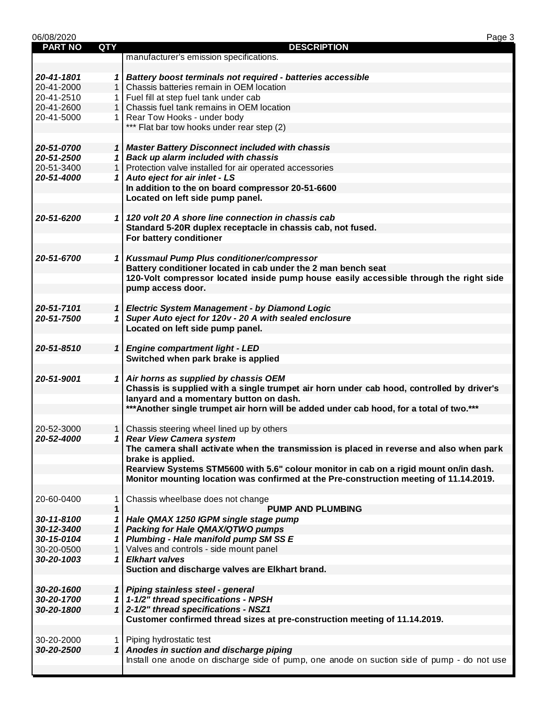| 06/08/2020     |              |                                                                                             | Page 3 |
|----------------|--------------|---------------------------------------------------------------------------------------------|--------|
| <b>PART NO</b> | <b>QTY</b>   | <b>DESCRIPTION</b>                                                                          |        |
|                |              | manufacturer's emission specifications.                                                     |        |
|                |              |                                                                                             |        |
| 20-41-1801     |              | 1   Battery boost terminals not required - batteries accessible                             |        |
| 20-41-2000     | 1            | Chassis batteries remain in OEM location                                                    |        |
| 20-41-2510     |              | Fuel fill at step fuel tank under cab                                                       |        |
|                |              |                                                                                             |        |
| 20-41-2600     |              | Chassis fuel tank remains in OEM location                                                   |        |
| 20-41-5000     | $\mathbf{1}$ | Rear Tow Hooks - under body                                                                 |        |
|                |              | *** Flat bar tow hooks under rear step (2)                                                  |        |
|                |              |                                                                                             |        |
| 20-51-0700     |              | 1 Master Battery Disconnect included with chassis                                           |        |
| 20-51-2500     |              | 1 Back up alarm included with chassis                                                       |        |
| 20-51-3400     | $\mathbf{1}$ | Protection valve installed for air operated accessories                                     |        |
| 20-51-4000     |              | Auto eject for air inlet - LS                                                               |        |
|                |              | In addition to the on board compressor 20-51-6600                                           |        |
|                |              | Located on left side pump panel.                                                            |        |
|                |              |                                                                                             |        |
|                |              |                                                                                             |        |
| 20-51-6200     |              | 1 120 volt 20 A shore line connection in chassis cab                                        |        |
|                |              | Standard 5-20R duplex receptacle in chassis cab, not fused.                                 |        |
|                |              | For battery conditioner                                                                     |        |
|                |              |                                                                                             |        |
| 20-51-6700     |              | 1 Kussmaul Pump Plus conditioner/compressor                                                 |        |
|                |              | Battery conditioner located in cab under the 2 man bench seat                               |        |
|                |              | 120-Volt compressor located inside pump house easily accessible through the right side      |        |
|                |              | pump access door.                                                                           |        |
|                |              |                                                                                             |        |
|                |              |                                                                                             |        |
| 20-51-7101     |              | 1 Electric System Management - by Diamond Logic                                             |        |
| 20-51-7500     | $\mathbf{1}$ | Super Auto eject for 120v - 20 A with sealed enclosure                                      |        |
|                |              | Located on left side pump panel.                                                            |        |
|                |              |                                                                                             |        |
| 20-51-8510     |              | 1 Engine compartment light - LED                                                            |        |
|                |              | Switched when park brake is applied                                                         |        |
|                |              |                                                                                             |        |
| 20-51-9001     |              | 1 Air horns as supplied by chassis OEM                                                      |        |
|                |              | Chassis is supplied with a single trumpet air horn under cab hood, controlled by driver's   |        |
|                |              | lanyard and a momentary button on dash.                                                     |        |
|                |              | ***Another single trumpet air horn will be added under cab hood, for a total of two.***     |        |
|                |              |                                                                                             |        |
|                |              |                                                                                             |        |
| 20-52-3000     |              | 1   Chassis steering wheel lined up by others                                               |        |
| 20-52-4000     |              | 1 Rear View Camera system                                                                   |        |
|                |              | The camera shall activate when the transmission is placed in reverse and also when park     |        |
|                |              | brake is applied.                                                                           |        |
|                |              | Rearview Systems STM5600 with 5.6" colour monitor in cab on a rigid mount on/in dash.       |        |
|                |              | Monitor mounting location was confirmed at the Pre-construction meeting of 11.14.2019.      |        |
|                |              |                                                                                             |        |
| 20-60-0400     |              | Chassis wheelbase does not change                                                           |        |
|                | 1            |                                                                                             |        |
|                | $\mathbf{1}$ | <b>PUMP AND PLUMBING</b>                                                                    |        |
| 30-11-8100     | 1            | Hale QMAX 1250 IGPM single stage pump                                                       |        |
| 30-12-3400     | 1            | Packing for Hale QMAX/QTWO pumps                                                            |        |
| 30-15-0104     | 1            | Plumbing - Hale manifold pump SM SS E                                                       |        |
| 30-20-0500     | $\mathbf{1}$ | Valves and controls - side mount panel                                                      |        |
| 30-20-1003     | 1            | <b>Elkhart valves</b>                                                                       |        |
|                |              | Suction and discharge valves are Elkhart brand.                                             |        |
|                |              |                                                                                             |        |
| 30-20-1600     |              | 1 Piping stainless steel - general                                                          |        |
|                |              |                                                                                             |        |
| 30-20-1700     |              | 1   1-1/2" thread specifications - NPSH                                                     |        |
| 30-20-1800     |              | 1 2-1/2" thread specifications - NSZ1                                                       |        |
|                |              | Customer confirmed thread sizes at pre-construction meeting of 11.14.2019.                  |        |
|                |              |                                                                                             |        |
| 30-20-2000     | 1.           | Piping hydrostatic test                                                                     |        |
| 30-20-2500     |              | 1 Anodes in suction and discharge piping                                                    |        |
|                |              | Install one anode on discharge side of pump, one anode on suction side of pump - do not use |        |
|                |              |                                                                                             |        |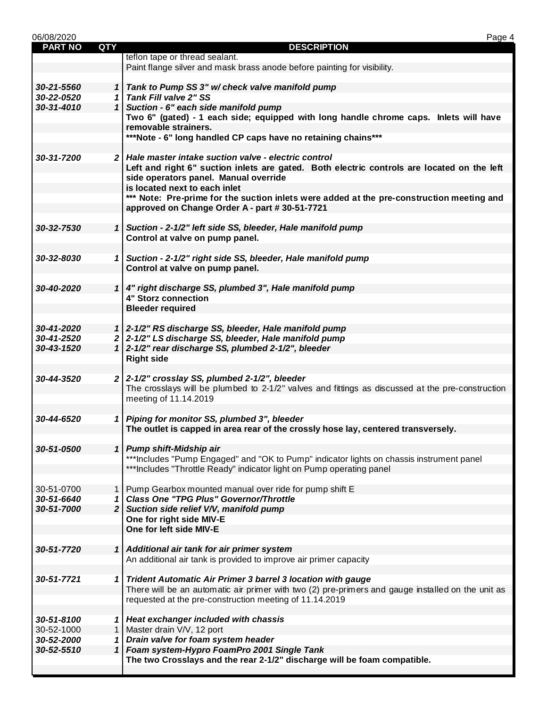| 06/08/2020     |            | Page 4                                                                                            |
|----------------|------------|---------------------------------------------------------------------------------------------------|
| <b>PART NO</b> | <b>QTY</b> | <b>DESCRIPTION</b>                                                                                |
|                |            | teflon tape or thread sealant.                                                                    |
|                |            | Paint flange silver and mask brass anode before painting for visibility.                          |
|                |            |                                                                                                   |
| 30-21-5560     |            | 1 Tank to Pump SS 3" w/ check valve manifold pump                                                 |
| 30-22-0520     |            | 1 Tank Fill valve 2" SS                                                                           |
| 30-31-4010     |            | 1 Suction - 6" each side manifold pump                                                            |
|                |            | Two 6" (gated) - 1 each side; equipped with long handle chrome caps. Inlets will have             |
|                |            | removable strainers.                                                                              |
|                |            | ***Note - 6" long handled CP caps have no retaining chains***                                     |
|                |            |                                                                                                   |
| 30-31-7200     |            | 2 Hale master intake suction valve - electric control                                             |
|                |            | Left and right 6" suction inlets are gated. Both electric controls are located on the left        |
|                |            | side operators panel. Manual override                                                             |
|                |            | is located next to each inlet                                                                     |
|                |            | *** Note: Pre-prime for the suction inlets were added at the pre-construction meeting and         |
|                |            | approved on Change Order A - part # 30-51-7721                                                    |
|                |            |                                                                                                   |
| 30-32-7530     |            | 1 Suction - 2-1/2" left side SS, bleeder, Hale manifold pump                                      |
|                |            | Control at valve on pump panel.                                                                   |
|                |            |                                                                                                   |
| 30-32-8030     |            | 1 Suction - 2-1/2" right side SS, bleeder, Hale manifold pump                                     |
|                |            | Control at valve on pump panel.                                                                   |
|                |            |                                                                                                   |
| 30-40-2020     |            | 1 4" right discharge SS, plumbed 3", Hale manifold pump                                           |
|                |            | <b>4" Storz connection</b>                                                                        |
|                |            | <b>Bleeder required</b>                                                                           |
|                |            |                                                                                                   |
| 30-41-2020     |            | 1 2-1/2" RS discharge SS, bleeder, Hale manifold pump                                             |
| 30-41-2520     |            | 2 2-1/2" LS discharge SS, bleeder, Hale manifold pump                                             |
| 30-43-1520     |            | 1 2-1/2" rear discharge SS, plumbed 2-1/2", bleeder                                               |
|                |            |                                                                                                   |
|                |            | <b>Right side</b>                                                                                 |
| 30-44-3520     |            | $2 \mid 2-1/2$ " crosslay SS, plumbed 2-1/2", bleeder                                             |
|                |            |                                                                                                   |
|                |            | The crosslays will be plumbed to 2-1/2" valves and fittings as discussed at the pre-construction  |
|                |            | meeting of 11.14.2019                                                                             |
|                |            |                                                                                                   |
| 30-44-6520     |            | 1 Piping for monitor SS, plumbed 3", bleeder                                                      |
|                |            | The outlet is capped in area rear of the crossly hose lay, centered transversely.                 |
|                |            |                                                                                                   |
| 30-51-0500     |            | 1 Pump shift-Midship air                                                                          |
|                |            | ***Includes "Pump Engaged" and "OK to Pump" indicator lights on chassis instrument panel          |
|                |            | ***Includes "Throttle Ready" indicator light on Pump operating panel                              |
|                |            |                                                                                                   |
| 30-51-0700     |            | 1 Pump Gearbox mounted manual over ride for pump shift E                                          |
| 30-51-6640     |            | 1 Class One "TPG Plus" Governor/Throttle                                                          |
| 30-51-7000     |            | $2$ Suction side relief V/V, manifold pump                                                        |
|                |            | One for right side MIV-E                                                                          |
|                |            | One for left side MIV-E                                                                           |
|                |            |                                                                                                   |
| 30-51-7720     |            | 1 Additional air tank for air primer system                                                       |
|                |            | An additional air tank is provided to improve air primer capacity                                 |
|                |            |                                                                                                   |
| 30-51-7721     |            | 1 Trident Automatic Air Primer 3 barrel 3 location with gauge                                     |
|                |            | There will be an automatic air primer with two (2) pre-primers and gauge installed on the unit as |
|                |            | requested at the pre-construction meeting of 11.14.2019                                           |
|                |            |                                                                                                   |
| 30-51-8100     |            | 1 Heat exchanger included with chassis                                                            |
| 30-52-1000     |            | 1   Master drain V/V, 12 port                                                                     |
| 30-52-2000     |            | 1 Drain valve for foam system header                                                              |
| 30-52-5510     |            | 1 Foam system-Hypro FoamPro 2001 Single Tank                                                      |
|                |            | The two Crosslays and the rear 2-1/2" discharge will be foam compatible.                          |
|                |            |                                                                                                   |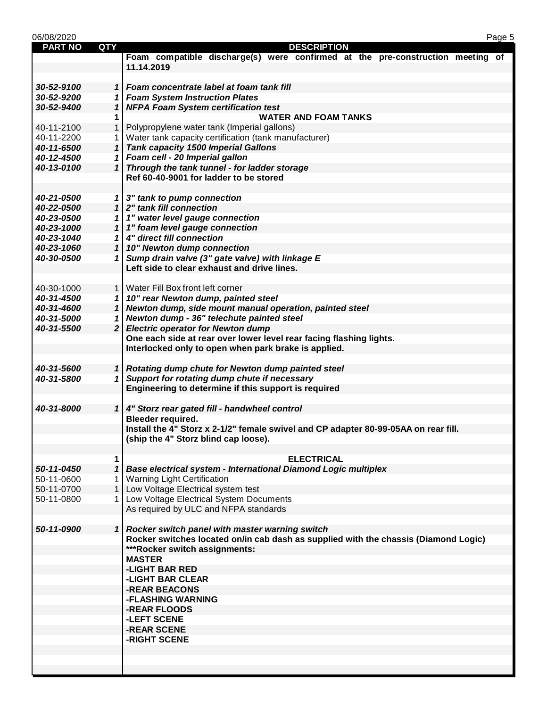| 06/08/2020     |            | Page 5                                                                                                                                  |
|----------------|------------|-----------------------------------------------------------------------------------------------------------------------------------------|
| <b>PART NO</b> | <b>QTY</b> | <b>DESCRIPTION</b>                                                                                                                      |
|                |            | Foam compatible discharge(s) were confirmed at the pre-construction meeting of                                                          |
|                |            | 11.14.2019                                                                                                                              |
|                |            |                                                                                                                                         |
| 30-52-9100     |            | 1   Foam concentrate label at foam tank fill                                                                                            |
| 30-52-9200     |            | 1 Foam System Instruction Plates                                                                                                        |
| 30-52-9400     |            | 1 NFPA Foam System certification test                                                                                                   |
|                | 1          | <b>WATER AND FOAM TANKS</b>                                                                                                             |
| 40-11-2100     | 1          | Polypropylene water tank (Imperial gallons)                                                                                             |
| 40-11-2200     |            | Water tank capacity certification (tank manufacturer)                                                                                   |
| 40-11-6500     |            | 1 Tank capacity 1500 Imperial Gallons                                                                                                   |
| 40-12-4500     |            | 1 Foam cell - 20 Imperial gallon                                                                                                        |
| 40-13-0100     |            | 1 Through the tank tunnel - for ladder storage<br>Ref 60-40-9001 for ladder to be stored                                                |
|                |            |                                                                                                                                         |
| 40-21-0500     |            | 1 3" tank to pump connection                                                                                                            |
| 40-22-0500     |            | 1 2" tank fill connection                                                                                                               |
| 40-23-0500     |            | 1   1" water level gauge connection                                                                                                     |
| 40-23-1000     |            | 1   1" foam level gauge connection                                                                                                      |
| 40-23-1040     |            | 1 4" direct fill connection                                                                                                             |
| 40-23-1060     |            | 1 10" Newton dump connection                                                                                                            |
| 40-30-0500     |            | 1 Sump drain valve (3" gate valve) with linkage E                                                                                       |
|                |            | Left side to clear exhaust and drive lines.                                                                                             |
|                |            |                                                                                                                                         |
| 40-30-1000     |            | 1   Water Fill Box front left corner                                                                                                    |
| 40-31-4500     |            | 1   10" rear Newton dump, painted steel                                                                                                 |
| 40-31-4600     |            | 1 Newton dump, side mount manual operation, painted steel                                                                               |
| 40-31-5000     |            | 1 Newton dump - 36" telechute painted steel                                                                                             |
| 40-31-5500     |            | 2 Electric operator for Newton dump                                                                                                     |
|                |            | One each side at rear over lower level rear facing flashing lights.                                                                     |
|                |            | Interlocked only to open when park brake is applied.                                                                                    |
|                |            |                                                                                                                                         |
| 40-31-5600     |            | 1 Rotating dump chute for Newton dump painted steel                                                                                     |
| 40-31-5800     |            | 1 Support for rotating dump chute if necessary                                                                                          |
|                |            | Engineering to determine if this support is required                                                                                    |
|                |            |                                                                                                                                         |
| 40-31-8000     |            | 1 4" Storz rear gated fill - handwheel control                                                                                          |
|                |            | <b>Bleeder required.</b>                                                                                                                |
|                |            | Install the 4" Storz x 2-1/2" female swivel and CP adapter 80-99-05AA on rear fill.                                                     |
|                |            | (ship the 4" Storz blind cap loose).                                                                                                    |
|                |            |                                                                                                                                         |
|                | 1          | <b>ELECTRICAL</b>                                                                                                                       |
| 50-11-0450     | 1          | Base electrical system - International Diamond Logic multiplex                                                                          |
| 50-11-0600     |            | 1   Warning Light Certification                                                                                                         |
| 50-11-0700     |            | 1 Low Voltage Electrical system test                                                                                                    |
| 50-11-0800     |            | 1 Low Voltage Electrical System Documents                                                                                               |
|                |            | As required by ULC and NFPA standards                                                                                                   |
| 50-11-0900     |            |                                                                                                                                         |
|                |            | 1 Rocker switch panel with master warning switch<br>Rocker switches located on/in cab dash as supplied with the chassis (Diamond Logic) |
|                |            | ***Rocker switch assignments:                                                                                                           |
|                |            | <b>MASTER</b>                                                                                                                           |
|                |            | -LIGHT BAR RED                                                                                                                          |
|                |            | -LIGHT BAR CLEAR                                                                                                                        |
|                |            | -REAR BEACONS                                                                                                                           |
|                |            | -FLASHING WARNING                                                                                                                       |
|                |            | -REAR FLOODS                                                                                                                            |
|                |            | -LEFT SCENE                                                                                                                             |
|                |            | -REAR SCENE                                                                                                                             |
|                |            | -RIGHT SCENE                                                                                                                            |
|                |            |                                                                                                                                         |
|                |            |                                                                                                                                         |
|                |            |                                                                                                                                         |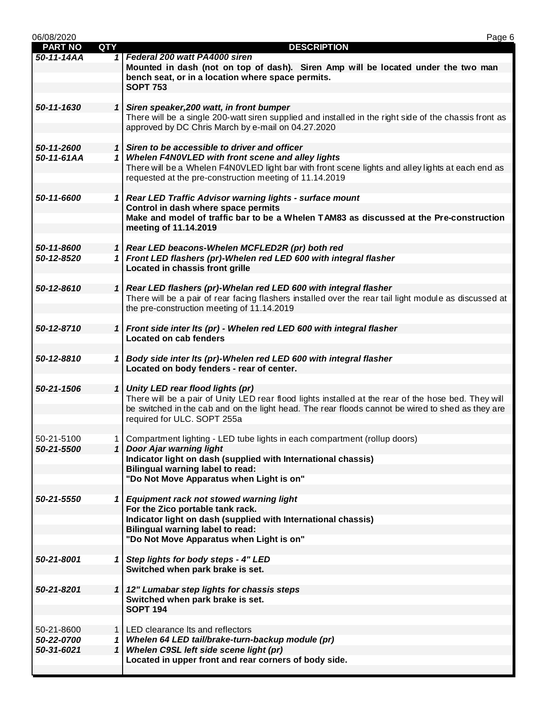| 06/08/2020     |              | Page 6                                                                                                           |
|----------------|--------------|------------------------------------------------------------------------------------------------------------------|
| <b>PART NO</b> | <b>QTY</b>   | <b>DESCRIPTION</b>                                                                                               |
| 50-11-14AA     |              | 1 Federal 200 watt PA4000 siren                                                                                  |
|                |              | Mounted in dash (not on top of dash). Siren Amp will be located under the two man                                |
|                |              | bench seat, or in a location where space permits.                                                                |
|                |              | <b>SOPT 753</b>                                                                                                  |
| 50-11-1630     |              | 1 Siren speaker, 200 watt, in front bumper                                                                       |
|                |              | There will be a single 200-watt siren supplied and installed in the right side of the chassis front as           |
|                |              | approved by DC Chris March by e-mail on 04.27.2020                                                               |
|                |              |                                                                                                                  |
| 50-11-2600     |              | 1 Siren to be accessible to driver and officer                                                                   |
| 50-11-61AA     |              | 1 Whelen F4N0VLED with front scene and alley lights                                                              |
|                |              | There will be a Whelen F4N0VLED light bar with front scene lights and alley lights at each end as                |
|                |              | requested at the pre-construction meeting of 11.14.2019                                                          |
|                |              |                                                                                                                  |
| 50-11-6600     |              | 1 Rear LED Traffic Advisor warning lights - surface mount                                                        |
|                |              | Control in dash where space permits                                                                              |
|                |              | Make and model of traffic bar to be a Whelen TAM83 as discussed at the Pre-construction                          |
|                |              | meeting of 11.14.2019                                                                                            |
| 50-11-8600     |              | 1 Rear LED beacons-Whelen MCFLED2R (pr) both red                                                                 |
| 50-12-8520     |              | 1 Front LED flashers (pr)-Whelen red LED 600 with integral flasher                                               |
|                |              | Located in chassis front grille                                                                                  |
|                |              |                                                                                                                  |
| 50-12-8610     |              | 1 Rear LED flashers (pr)-Whelan red LED 600 with integral flasher                                                |
|                |              | There will be a pair of rear facing flashers installed over the rear tail light module as discussed at           |
|                |              | the pre-construction meeting of 11.14.2019                                                                       |
|                |              |                                                                                                                  |
| 50-12-8710     |              | 1 Front side inter Its (pr) - Whelen red LED 600 with integral flasher                                           |
|                |              | <b>Located on cab fenders</b>                                                                                    |
|                |              |                                                                                                                  |
| 50-12-8810     |              | 1 Body side inter Its (pr)-Whelen red LED 600 with integral flasher<br>Located on body fenders - rear of center. |
|                |              |                                                                                                                  |
| 50-21-1506     |              | 1 Unity LED rear flood lights (pr)                                                                               |
|                |              | There will be a pair of Unity LED rear flood lights installed at the rear of the hose bed. They will             |
|                |              | be switched in the cab and on the light head. The rear floods cannot be wired to shed as they are                |
|                |              | required for ULC. SOPT 255a                                                                                      |
|                |              |                                                                                                                  |
| 50-21-5100     | 1            | Compartment lighting - LED tube lights in each compartment (rollup doors)                                        |
| 50-21-5500     |              | 1 Door Ajar warning light                                                                                        |
|                |              | Indicator light on dash (supplied with International chassis)                                                    |
|                |              | <b>Bilingual warning label to read:</b><br>"Do Not Move Apparatus when Light is on"                              |
|                |              |                                                                                                                  |
| 50-21-5550     |              | 1 Equipment rack not stowed warning light                                                                        |
|                |              | For the Zico portable tank rack.                                                                                 |
|                |              | Indicator light on dash (supplied with International chassis)                                                    |
|                |              | <b>Bilingual warning label to read:</b>                                                                          |
|                |              | "Do Not Move Apparatus when Light is on"                                                                         |
|                |              |                                                                                                                  |
| 50-21-8001     |              | 1 Step lights for body steps - 4" LED                                                                            |
|                |              | Switched when park brake is set.                                                                                 |
|                |              |                                                                                                                  |
| 50-21-8201     |              | 1   12" Lumabar step lights for chassis steps<br>Switched when park brake is set.                                |
|                |              | <b>SOPT 194</b>                                                                                                  |
|                |              |                                                                                                                  |
| 50-21-8600     |              | 1   LED clearance Its and reflectors                                                                             |
| 50-22-0700     |              | 1 Whelen 64 LED tail/brake-turn-backup module (pr)                                                               |
| 50-31-6021     | $\mathbf{1}$ | Whelen C9SL left side scene light (pr)                                                                           |
|                |              | Located in upper front and rear corners of body side.                                                            |
|                |              |                                                                                                                  |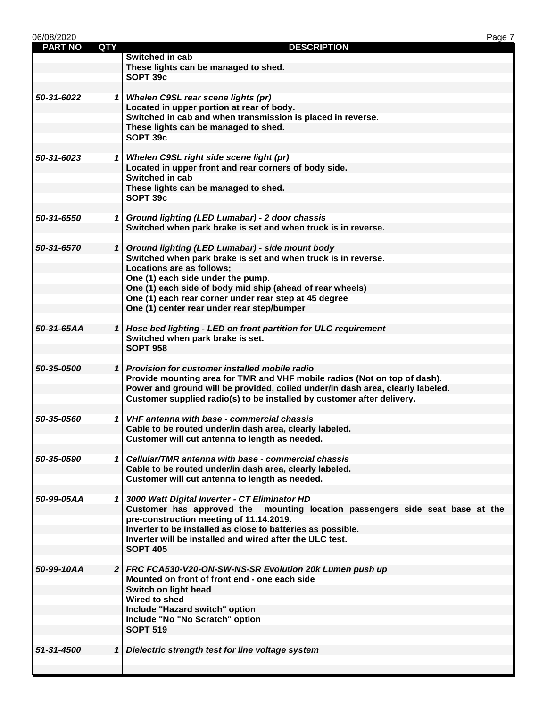| 06/08/2020     |                |                                                                                                    | Page 7 |
|----------------|----------------|----------------------------------------------------------------------------------------------------|--------|
| <b>PART NO</b> | <b>QTY</b>     | <b>DESCRIPTION</b>                                                                                 |        |
|                |                | Switched in cab                                                                                    |        |
|                |                | These lights can be managed to shed.                                                               |        |
|                |                | SOPT 39c                                                                                           |        |
|                |                |                                                                                                    |        |
| 50-31-6022     |                | 1 Whelen C9SL rear scene lights (pr)                                                               |        |
|                |                | Located in upper portion at rear of body.                                                          |        |
|                |                | Switched in cab and when transmission is placed in reverse.                                        |        |
|                |                | These lights can be managed to shed.                                                               |        |
|                |                | SOPT 39c                                                                                           |        |
|                |                |                                                                                                    |        |
| 50-31-6023     |                | 1 Whelen C9SL right side scene light (pr)<br>Located in upper front and rear corners of body side. |        |
|                |                | Switched in cab                                                                                    |        |
|                |                | These lights can be managed to shed.                                                               |        |
|                |                | SOPT 39c                                                                                           |        |
|                |                |                                                                                                    |        |
| 50-31-6550     |                | 1 Ground lighting (LED Lumabar) - 2 door chassis                                                   |        |
|                |                | Switched when park brake is set and when truck is in reverse.                                      |        |
|                |                |                                                                                                    |        |
| 50-31-6570     |                | 1 Ground lighting (LED Lumabar) - side mount body                                                  |        |
|                |                | Switched when park brake is set and when truck is in reverse.                                      |        |
|                |                | Locations are as follows;                                                                          |        |
|                |                | One (1) each side under the pump.                                                                  |        |
|                |                | One (1) each side of body mid ship (ahead of rear wheels)                                          |        |
|                |                | One (1) each rear corner under rear step at 45 degree                                              |        |
|                |                | One (1) center rear under rear step/bumper                                                         |        |
|                |                |                                                                                                    |        |
| 50-31-65AA     |                | 1 Hose bed lighting - LED on front partition for ULC requirement                                   |        |
|                |                | Switched when park brake is set.                                                                   |        |
|                |                | <b>SOPT 958</b>                                                                                    |        |
|                |                |                                                                                                    |        |
| 50-35-0500     |                | 1 Provision for customer installed mobile radio                                                    |        |
|                |                | Provide mounting area for TMR and VHF mobile radios (Not on top of dash).                          |        |
|                |                | Power and ground will be provided, coiled under/in dash area, clearly labeled.                     |        |
|                |                | Customer supplied radio(s) to be installed by customer after delivery.                             |        |
| 50-35-0560     |                | 1 VHF antenna with base - commercial chassis                                                       |        |
|                |                | Cable to be routed under/in dash area, clearly labeled.                                            |        |
|                |                | Customer will cut antenna to length as needed.                                                     |        |
|                |                |                                                                                                    |        |
| 50-35-0590     |                | 1 Cellular/TMR antenna with base - commercial chassis                                              |        |
|                |                | Cable to be routed under/in dash area, clearly labeled.                                            |        |
|                |                | Customer will cut antenna to length as needed.                                                     |        |
|                |                |                                                                                                    |        |
| 50-99-05AA     |                | 1 3000 Watt Digital Inverter - CT Eliminator HD                                                    |        |
|                |                | Customer has approved the<br>mounting location passengers side seat base at the                    |        |
|                |                | pre-construction meeting of 11.14.2019.                                                            |        |
|                |                | Inverter to be installed as close to batteries as possible.                                        |        |
|                |                | Inverter will be installed and wired after the ULC test.                                           |        |
|                |                | <b>SOPT 405</b>                                                                                    |        |
|                |                |                                                                                                    |        |
| 50-99-10AA     |                | 2 FRC FCA530-V20-ON-SW-NS-SR Evolution 20k Lumen push up                                           |        |
|                |                | Mounted on front of front end - one each side                                                      |        |
|                |                | Switch on light head                                                                               |        |
|                |                | <b>Wired to shed</b>                                                                               |        |
|                |                | Include "Hazard switch" option                                                                     |        |
|                |                | Include "No "No Scratch" option                                                                    |        |
|                |                | <b>SOPT 519</b>                                                                                    |        |
|                |                |                                                                                                    |        |
| 51-31-4500     | 1 <sup>1</sup> | Dielectric strength test for line voltage system                                                   |        |
|                |                |                                                                                                    |        |
|                |                |                                                                                                    |        |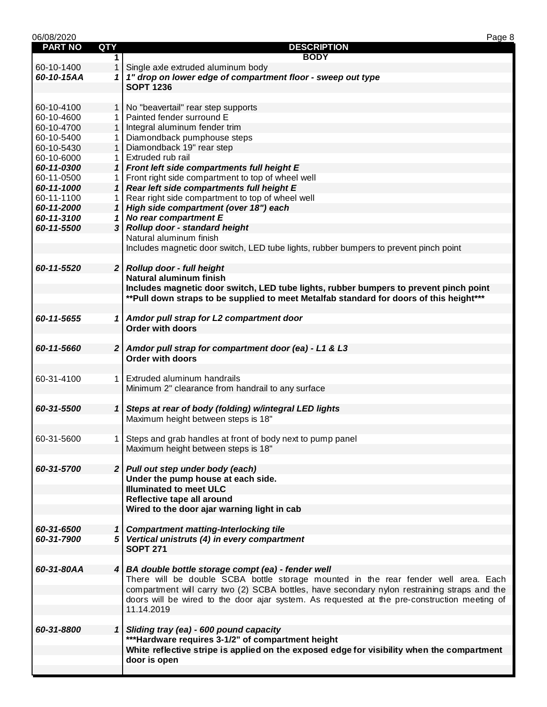| 06/08/2020     |                |                                                                                              | Page 8 |
|----------------|----------------|----------------------------------------------------------------------------------------------|--------|
| <b>PART NO</b> | <b>QTY</b>     | <b>DESCRIPTION</b>                                                                           |        |
|                | $\mathbf 1$    | <b>BODY</b>                                                                                  |        |
| 60-10-1400     | 1              | Single axle extruded aluminum body                                                           |        |
| 60-10-15AA     |                | 1 1" drop on lower edge of compartment floor - sweep out type                                |        |
|                |                | <b>SOPT 1236</b>                                                                             |        |
|                |                |                                                                                              |        |
| 60-10-4100     | 1 <sup>1</sup> | No "beavertail" rear step supports                                                           |        |
| 60-10-4600     | 1 <sup>1</sup> | Painted fender surround E                                                                    |        |
| 60-10-4700     | 1 <sup>1</sup> | Integral aluminum fender trim                                                                |        |
| 60-10-5400     |                | Diamondback pumphouse steps                                                                  |        |
| 60-10-5430     | $\mathbf{1}$   | Diamondback 19" rear step                                                                    |        |
| 60-10-6000     | 1              | Extruded rub rail                                                                            |        |
| 60-11-0300     | 1 <sup>1</sup> | Front left side compartments full height E                                                   |        |
| 60-11-0500     | 1 <sup>1</sup> | Front right side compartment to top of wheel well                                            |        |
| 60-11-1000     | $\mathbf{1}$   | Rear left side compartments full height E                                                    |        |
| 60-11-1100     | 1.             | Rear right side compartment to top of wheel well                                             |        |
| 60-11-2000     | $\mathbf{1}$   | High side compartment (over 18") each                                                        |        |
| 60-11-3100     | 1              | No rear compartment E                                                                        |        |
| 60-11-5500     |                | 3 Rollup door - standard height                                                              |        |
|                |                | Natural aluminum finish                                                                      |        |
|                |                | Includes magnetic door switch, LED tube lights, rubber bumpers to prevent pinch point        |        |
|                |                |                                                                                              |        |
| 60-11-5520     |                | 2 Rollup door - full height                                                                  |        |
|                |                | <b>Natural aluminum finish</b>                                                               |        |
|                |                | Includes magnetic door switch, LED tube lights, rubber bumpers to prevent pinch point        |        |
|                |                | ** Pull down straps to be supplied to meet Metalfab standard for doors of this height***     |        |
|                |                |                                                                                              |        |
| 60-11-5655     |                | 1 Amdor pull strap for L2 compartment door<br><b>Order with doors</b>                        |        |
|                |                |                                                                                              |        |
| 60-11-5660     |                | 2 Amdor pull strap for compartment door (ea) - L1 & L3                                       |        |
|                |                | <b>Order with doors</b>                                                                      |        |
|                |                |                                                                                              |        |
| 60-31-4100     | 1 <sup>1</sup> | Extruded aluminum handrails                                                                  |        |
|                |                | Minimum 2" clearance from handrail to any surface                                            |        |
|                |                |                                                                                              |        |
| 60-31-5500     | $\mathbf{1}$   | Steps at rear of body (folding) w/integral LED lights                                        |        |
|                |                | Maximum height between steps is 18"                                                          |        |
|                |                |                                                                                              |        |
| 60-31-5600     |                | 1   Steps and grab handles at front of body next to pump panel                               |        |
|                |                | Maximum height between steps is 18"                                                          |        |
|                |                |                                                                                              |        |
| 60-31-5700     |                | 2 Pull out step under body (each)                                                            |        |
|                |                | Under the pump house at each side.                                                           |        |
|                |                | <b>Illuminated to meet ULC</b>                                                               |        |
|                |                | Reflective tape all around                                                                   |        |
|                |                | Wired to the door ajar warning light in cab                                                  |        |
|                |                |                                                                                              |        |
| 60-31-6500     |                | 1 Compartment matting-Interlocking tile                                                      |        |
| 60-31-7900     |                | 5 Vertical unistruts (4) in every compartment                                                |        |
|                |                | <b>SOPT 271</b>                                                                              |        |
|                |                |                                                                                              |        |
| 60-31-80AA     |                | 4 BA double bottle storage compt (ea) - fender well                                          |        |
|                |                | There will be double SCBA bottle storage mounted in the rear fender well area. Each          |        |
|                |                | compartment will carry two (2) SCBA bottles, have secondary nylon restraining straps and the |        |
|                |                | doors will be wired to the door ajar system. As requested at the pre-construction meeting of |        |
|                |                | 11.14.2019                                                                                   |        |
|                |                |                                                                                              |        |
| 60-31-8800     | 1              | Sliding tray (ea) - 600 pound capacity                                                       |        |
|                |                | *** Hardware requires 3-1/2" of compartment height                                           |        |
|                |                | White reflective stripe is applied on the exposed edge for visibility when the compartment   |        |
|                |                | door is open                                                                                 |        |
|                |                |                                                                                              |        |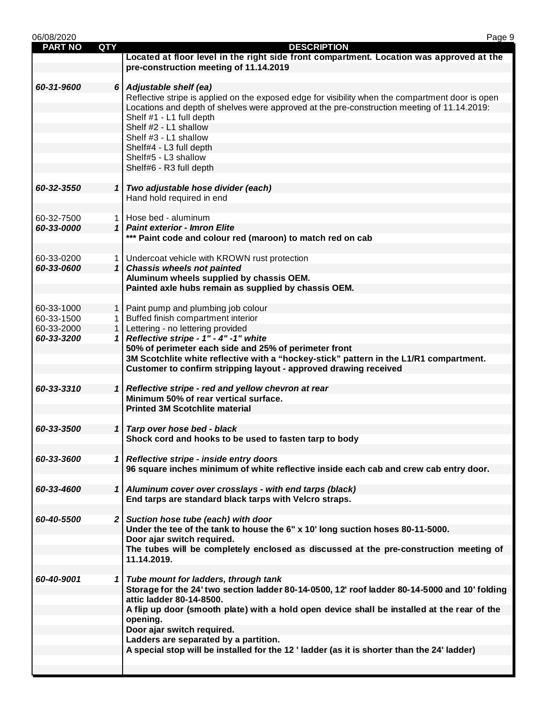| 06/08/2020     |            | Page 9                                                                                            |
|----------------|------------|---------------------------------------------------------------------------------------------------|
| <b>PART NO</b> | <b>QTY</b> | <b>DESCRIPTION</b>                                                                                |
|                |            | Located at floor level in the right side front compartment. Location was approved at the          |
|                |            | pre-construction meeting of 11.14.2019                                                            |
|                |            |                                                                                                   |
| 60-31-9600     |            | 6 Adjustable shelf (ea)                                                                           |
|                |            | Reflective stripe is applied on the exposed edge for visibility when the compartment door is open |
|                |            | Locations and depth of shelves were approved at the pre-construction meeting of 11.14.2019:       |
|                |            | Shelf #1 - L1 full depth                                                                          |
|                |            | Shelf #2 - L1 shallow                                                                             |
|                |            | Shelf #3 - L1 shallow                                                                             |
|                |            | Shelf#4 - L3 full depth<br>Shelf#5 - L3 shallow                                                   |
|                |            | Shelf#6 - R3 full depth                                                                           |
|                |            |                                                                                                   |
| 60-32-3550     |            | 1 Two adjustable hose divider (each)                                                              |
|                |            | Hand hold required in end                                                                         |
|                |            |                                                                                                   |
| 60-32-7500     |            | 1   Hose bed - aluminum                                                                           |
| 60-33-0000     |            | 1   Paint exterior - Imron Elite                                                                  |
|                |            | *** Paint code and colour red (maroon) to match red on cab                                        |
|                |            |                                                                                                   |
| 60-33-0200     |            | 1   Undercoat vehicle with KROWN rust protection                                                  |
| 60-33-0600     |            | 1 Chassis wheels not painted                                                                      |
|                |            | Aluminum wheels supplied by chassis OEM.                                                          |
|                |            | Painted axle hubs remain as supplied by chassis OEM.                                              |
|                |            |                                                                                                   |
| 60-33-1000     |            | 1   Paint pump and plumbing job colour                                                            |
| 60-33-1500     |            | 1 Buffed finish compartment interior                                                              |
| 60-33-2000     |            | 1   Lettering - no lettering provided                                                             |
| 60-33-3200     |            | 1 Reflective stripe - $1"$ - $4"$ -1" white                                                       |
|                |            | 50% of perimeter each side and 25% of perimeter front                                             |
|                |            | 3M Scotchlite white reflective with a "hockey-stick" pattern in the L1/R1 compartment.            |
|                |            | Customer to confirm stripping layout - approved drawing received                                  |
|                |            |                                                                                                   |
| 60-33-3310     |            | 1 Reflective stripe - red and yellow chevron at rear                                              |
|                |            | Minimum 50% of rear vertical surface.                                                             |
|                |            | <b>Printed 3M Scotchlite material</b>                                                             |
|                |            |                                                                                                   |
| 60-33-3500     |            | 1 Tarp over hose bed - black                                                                      |
|                |            | Shock cord and hooks to be used to fasten tarp to body                                            |
|                |            |                                                                                                   |
| 60-33-3600     |            | 1 Reflective stripe - inside entry doors                                                          |
|                |            | 96 square inches minimum of white reflective inside each cab and crew cab entry door.             |
| 60-33-4600     |            | 1 Aluminum cover over crosslays - with end tarps (black)                                          |
|                |            | End tarps are standard black tarps with Velcro straps.                                            |
|                |            |                                                                                                   |
| 60-40-5500     |            | 2 Suction hose tube (each) with door                                                              |
|                |            | Under the tee of the tank to house the 6" x 10' long suction hoses 80-11-5000.                    |
|                |            | Door ajar switch required.                                                                        |
|                |            | The tubes will be completely enclosed as discussed at the pre-construction meeting of             |
|                |            | 11.14.2019.                                                                                       |
|                |            |                                                                                                   |
| 60-40-9001     |            | 1 Tube mount for ladders, through tank                                                            |
|                |            | Storage for the 24' two section ladder 80-14-0500, 12' roof ladder 80-14-5000 and 10' folding     |
|                |            | attic ladder 80-14-8500.                                                                          |
|                |            | A flip up door (smooth plate) with a hold open device shall be installed at the rear of the       |
|                |            | opening.                                                                                          |
|                |            | Door ajar switch required.                                                                        |
|                |            | Ladders are separated by a partition.                                                             |
|                |            | A special stop will be installed for the 12 ' ladder (as it is shorter than the 24' ladder)       |
|                |            |                                                                                                   |
|                |            |                                                                                                   |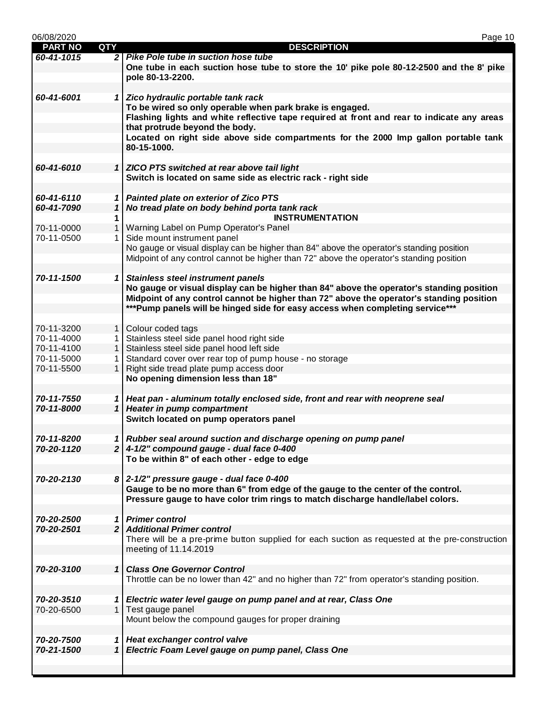| 06/08/2020     |                | Page 10                                                                                                                                                |
|----------------|----------------|--------------------------------------------------------------------------------------------------------------------------------------------------------|
| <b>PART NO</b> | <b>QTY</b>     | <b>DESCRIPTION</b>                                                                                                                                     |
| 60-41-1015     |                | 2 Pike Pole tube in suction hose tube                                                                                                                  |
|                |                | One tube in each suction hose tube to store the 10' pike pole 80-12-2500 and the 8' pike                                                               |
|                |                | pole 80-13-2200.                                                                                                                                       |
|                |                |                                                                                                                                                        |
| 60-41-6001     |                | 1 Zico hydraulic portable tank rack                                                                                                                    |
|                |                | To be wired so only operable when park brake is engaged.<br>Flashing lights and white reflective tape required at front and rear to indicate any areas |
|                |                | that protrude beyond the body.                                                                                                                         |
|                |                | Located on right side above side compartments for the 2000 lmp gallon portable tank                                                                    |
|                |                | 80-15-1000.                                                                                                                                            |
|                |                |                                                                                                                                                        |
| 60-41-6010     |                | 1 ZICO PTS switched at rear above tail light                                                                                                           |
|                |                | Switch is located on same side as electric rack - right side                                                                                           |
|                |                |                                                                                                                                                        |
| 60-41-6110     |                | 1 Painted plate on exterior of Zico PTS                                                                                                                |
| 60-41-7090     | $\mathbf{1}$   | No tread plate on body behind porta tank rack                                                                                                          |
|                | 1              | <b>INSTRUMENTATION</b>                                                                                                                                 |
| 70-11-0000     | 1              | Warning Label on Pump Operator's Panel                                                                                                                 |
| 70-11-0500     | 1              | Side mount instrument panel                                                                                                                            |
|                |                | No gauge or visual display can be higher than 84" above the operator's standing position                                                               |
|                |                | Midpoint of any control cannot be higher than 72" above the operator's standing position                                                               |
|                |                |                                                                                                                                                        |
| 70-11-1500     |                | 1 Stainless steel instrument panels                                                                                                                    |
|                |                | No gauge or visual display can be higher than 84" above the operator's standing position                                                               |
|                |                | Midpoint of any control cannot be higher than 72" above the operator's standing position                                                               |
|                |                | ***Pump panels will be hinged side for easy access when completing service***                                                                          |
|                |                |                                                                                                                                                        |
| 70-11-3200     |                | 1 Colour coded tags                                                                                                                                    |
| 70-11-4000     | $1 \mid$       | Stainless steel side panel hood right side                                                                                                             |
| 70-11-4100     | $1 \mid$       | Stainless steel side panel hood left side                                                                                                              |
| 70-11-5000     | 1.             | Standard cover over rear top of pump house - no storage                                                                                                |
| 70-11-5500     | $\mathbf{1}$   | Right side tread plate pump access door                                                                                                                |
|                |                | No opening dimension less than 18"                                                                                                                     |
|                |                |                                                                                                                                                        |
| 70-11-7550     |                | 1 Heat pan - aluminum totally enclosed side, front and rear with neoprene seal                                                                         |
| 70-11-8000     |                | 1 Heater in pump compartment                                                                                                                           |
|                |                | Switch located on pump operators panel                                                                                                                 |
|                |                |                                                                                                                                                        |
| 70-11-8200     |                | 1 Rubber seal around suction and discharge opening on pump panel                                                                                       |
| 70-20-1120     |                | $2 \mid 4 - 1/2$ " compound gauge - dual face 0-400                                                                                                    |
|                |                | To be within 8" of each other - edge to edge                                                                                                           |
|                |                |                                                                                                                                                        |
| 70-20-2130     |                | $8$ 2-1/2" pressure gauge - dual face 0-400                                                                                                            |
|                |                | Gauge to be no more than 6" from edge of the gauge to the center of the control.                                                                       |
|                |                | Pressure gauge to have color trim rings to match discharge handle/label colors.                                                                        |
| 70-20-2500     |                | 1 Primer control                                                                                                                                       |
| 70-20-2501     |                | 2 Additional Primer control                                                                                                                            |
|                |                | There will be a pre-prime button supplied for each suction as requested at the pre-construction                                                        |
|                |                | meeting of 11.14.2019                                                                                                                                  |
|                |                |                                                                                                                                                        |
| 70-20-3100     | $\mathbf{1}$   | <b>Class One Governor Control</b>                                                                                                                      |
|                |                | Throttle can be no lower than 42" and no higher than 72" from operator's standing position.                                                            |
|                |                |                                                                                                                                                        |
| 70-20-3510     |                | 1 Electric water level gauge on pump panel and at rear, Class One                                                                                      |
| 70-20-6500     | 1 <sup>1</sup> | Test gauge panel                                                                                                                                       |
|                |                | Mount below the compound gauges for proper draining                                                                                                    |
|                |                |                                                                                                                                                        |
| 70-20-7500     |                | 1 Heat exchanger control valve                                                                                                                         |
| 70-21-1500     |                | 1 Electric Foam Level gauge on pump panel, Class One                                                                                                   |
|                |                |                                                                                                                                                        |
|                |                |                                                                                                                                                        |